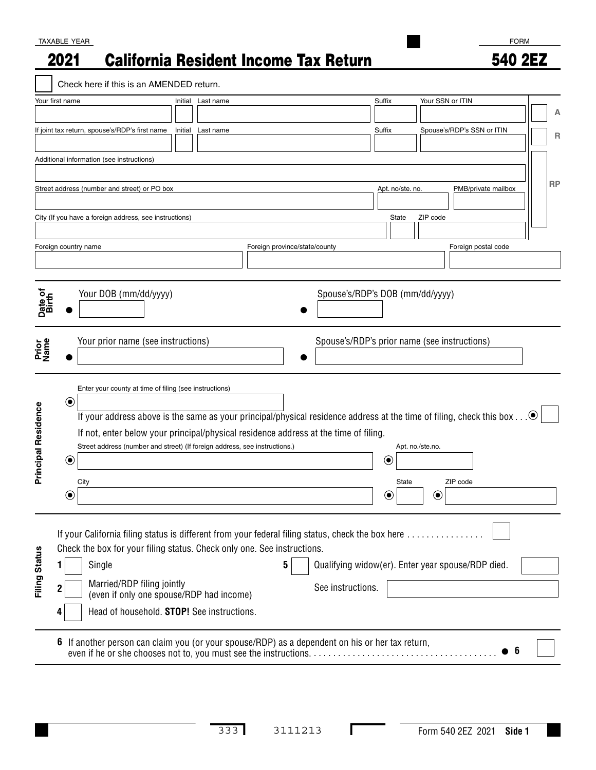## TAXABLE YEAR

## California Resident Income Tax Return 2021

FORM 540 2EZ

|                            |                             | Check here if this is an AMENDED return.               |                                                        |         |                                                                                                                                                                                                                                                                                                      |                               |   |                                                                        |                  |                  |                  |                  |          |                            |     |           |
|----------------------------|-----------------------------|--------------------------------------------------------|--------------------------------------------------------|---------|------------------------------------------------------------------------------------------------------------------------------------------------------------------------------------------------------------------------------------------------------------------------------------------------------|-------------------------------|---|------------------------------------------------------------------------|------------------|------------------|------------------|------------------|----------|----------------------------|-----|-----------|
|                            | Your first name             |                                                        |                                                        | Initial | Last name                                                                                                                                                                                                                                                                                            |                               |   |                                                                        | Suffix           |                  |                  | Your SSN or ITIN |          |                            |     | Α         |
|                            |                             | If joint tax return, spouse's/RDP's first name         |                                                        | Initial | Last name                                                                                                                                                                                                                                                                                            |                               |   |                                                                        | Suffix           |                  |                  |                  |          | Spouse's/RDP's SSN or ITIN |     | R         |
|                            |                             | Additional information (see instructions)              |                                                        |         |                                                                                                                                                                                                                                                                                                      |                               |   |                                                                        |                  |                  |                  |                  |          |                            |     |           |
|                            |                             | Street address (number and street) or PO box           |                                                        |         |                                                                                                                                                                                                                                                                                                      |                               |   |                                                                        |                  | Apt. no/ste. no. |                  |                  |          | PMB/private mailbox        |     | <b>RP</b> |
|                            |                             | City (If you have a foreign address, see instructions) |                                                        |         |                                                                                                                                                                                                                                                                                                      |                               |   |                                                                        |                  | State            | ZIP code         |                  |          |                            |     |           |
|                            |                             | Foreign country name                                   |                                                        |         |                                                                                                                                                                                                                                                                                                      | Foreign province/state/county |   |                                                                        |                  |                  |                  |                  |          | Foreign postal code        |     |           |
| Date of<br>Birth           |                             |                                                        | Your DOB (mm/dd/yyyy)                                  |         |                                                                                                                                                                                                                                                                                                      |                               |   | Spouse's/RDP's DOB (mm/dd/yyyy)                                        |                  |                  |                  |                  |          |                            |     |           |
| Prior<br>Name              |                             |                                                        | Your prior name (see instructions)                     |         |                                                                                                                                                                                                                                                                                                      |                               |   | Spouse's/RDP's prior name (see instructions)                           |                  |                  |                  |                  |          |                            |     |           |
| <b>Principal Residence</b> | $\bf \odot$                 |                                                        | Enter your county at time of filing (see instructions) |         | If your address above is the same as your principal/physical residence address at the time of filing, check this box $\bullet$<br>If not, enter below your principal/physical residence address at the time of filing.<br>Street address (number and street) (If foreign address, see instructions.) |                               |   |                                                                        |                  |                  | Apt. no./ste.no. |                  |          |                            |     |           |
|                            | $\textcolor{blue}{\bullet}$ | City                                                   |                                                        |         |                                                                                                                                                                                                                                                                                                      |                               |   |                                                                        | $\circledbullet$ | State            |                  |                  | ZIP code |                            |     |           |
|                            | $(\bullet)$                 |                                                        |                                                        |         |                                                                                                                                                                                                                                                                                                      |                               |   |                                                                        | $\bf{C}$         |                  |                  | ◉                |          |                            |     |           |
| Filing Status              |                             | Single                                                 | Married/RDP filing jointly                             |         | If your California filing status is different from your federal filing status, check the box here<br>Check the box for your filing status. Check only one. See instructions.<br>(even if only one spouse/RDP had income)<br>Head of household. STOP! See instructions.                               |                               | 5 | Qualifying widow(er). Enter year spouse/RDP died.<br>See instructions. |                  |                  |                  |                  |          |                            |     |           |
|                            |                             |                                                        |                                                        |         | 6 If another person can claim you (or your spouse/RDP) as a dependent on his or her tax return,                                                                                                                                                                                                      |                               |   |                                                                        |                  |                  |                  |                  |          |                            | - 6 |           |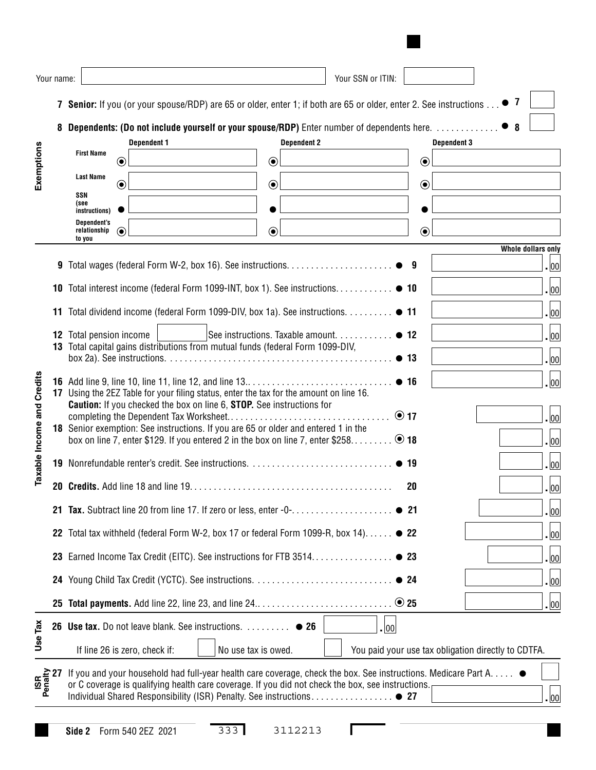|                                   | Your name: |                                                                                                                                                                              |                                            |                    |  |                     |         |                    | Your SSN or ITIN:                                        |        |    |         |                                                     |  |             |                    |                             |
|-----------------------------------|------------|------------------------------------------------------------------------------------------------------------------------------------------------------------------------------|--------------------------------------------|--------------------|--|---------------------|---------|--------------------|----------------------------------------------------------|--------|----|---------|-----------------------------------------------------|--|-------------|--------------------|-----------------------------|
|                                   |            | 7 Senior: If you (or your spouse/RDP) are 65 or older, enter 1; if both are 65 or older, enter 2. See instructions                                                           |                                            |                    |  |                     |         |                    |                                                          |        |    |         |                                                     |  | $\bullet$ 7 |                    |                             |
|                                   | 8          | <b>Dependents: (Do not include yourself or your spouse/RDP)</b> Enter number of dependents here.                                                                             |                                            |                    |  |                     |         |                    |                                                          |        |    |         |                                                     |  | $\bullet$ 8 |                    |                             |
|                                   |            |                                                                                                                                                                              |                                            | <b>Dependent 1</b> |  |                     |         | <b>Dependent 2</b> |                                                          |        |    |         | <b>Dependent 3</b>                                  |  |             |                    |                             |
| Exemptions                        |            | <b>First Name</b>                                                                                                                                                            | $\bf \odot$                                |                    |  |                     | $\odot$ |                    |                                                          |        |    | $\odot$ |                                                     |  |             |                    |                             |
|                                   |            | Last Name<br>SSN                                                                                                                                                             | $\textcircled{\textcolor{white}{\bullet}}$ |                    |  |                     | $\odot$ |                    |                                                          |        |    | $\odot$ |                                                     |  |             |                    |                             |
|                                   |            | (see<br>instructions)                                                                                                                                                        |                                            |                    |  |                     |         |                    |                                                          |        |    |         |                                                     |  |             |                    |                             |
|                                   |            | <b>Dependent's</b><br>relationship<br>to you                                                                                                                                 | $\odot$                                    |                    |  |                     | $\odot$ |                    |                                                          |        |    | $\odot$ |                                                     |  |             |                    |                             |
|                                   |            |                                                                                                                                                                              |                                            |                    |  |                     |         |                    |                                                          |        |    |         |                                                     |  |             | Whole dollars only |                             |
|                                   | 9          |                                                                                                                                                                              |                                            |                    |  |                     |         |                    |                                                          |        |    |         |                                                     |  |             |                    | $\cdot$ 00                  |
|                                   | 10         | Total interest income (federal Form 1099-INT, box 1). See instructions. ● 10                                                                                                 |                                            |                    |  |                     |         |                    |                                                          |        |    |         |                                                     |  |             |                    | . 00                        |
|                                   |            | 11 Total dividend income (federal Form 1099-DIV, box 1a). See instructions. ● 11                                                                                             |                                            |                    |  |                     |         |                    |                                                          |        |    |         |                                                     |  |             |                    | . 00                        |
|                                   |            | 12 Total pension income<br>13 Total capital gains distributions from mutual funds (federal Form 1099-DIV,                                                                    |                                            |                    |  |                     |         |                    | See instructions. Taxable amount. $\dots\dots\dots\dots$ |        |    |         |                                                     |  |             |                    | $\overline{\phantom{0}}$ 00 |
|                                   |            |                                                                                                                                                                              |                                            |                    |  |                     |         |                    |                                                          |        |    |         |                                                     |  |             |                    | . 00                        |
|                                   |            |                                                                                                                                                                              |                                            |                    |  |                     |         |                    |                                                          |        |    |         |                                                     |  |             |                    | . 00                        |
| <b>Taxable Income and Credits</b> | 17         | Using the 2EZ Table for your filing status, enter the tax for the amount on line 16.<br><b>Caution:</b> If you checked the box on line 6, <b>STOP</b> . See instructions for |                                            |                    |  |                     |         |                    |                                                          |        |    |         |                                                     |  |             |                    |                             |
|                                   |            | 18 Senior exemption: See instructions. If you are 65 or older and entered 1 in the                                                                                           |                                            |                    |  |                     |         |                    |                                                          |        |    |         |                                                     |  |             |                    | . 00                        |
|                                   |            | box on line 7, enter \$129. If you entered 2 in the box on line 7, enter \$258 $\bullet$ 18                                                                                  |                                            |                    |  |                     |         |                    |                                                          |        |    |         |                                                     |  |             |                    | 00 ،                        |
|                                   |            |                                                                                                                                                                              |                                            |                    |  |                     |         |                    |                                                          |        |    |         |                                                     |  |             |                    | . 00                        |
|                                   |            |                                                                                                                                                                              |                                            |                    |  |                     |         |                    |                                                          |        | 20 |         |                                                     |  |             |                    | <u>. 00</u>                 |
|                                   |            |                                                                                                                                                                              |                                            |                    |  |                     |         |                    |                                                          |        |    |         |                                                     |  |             |                    | , 00                        |
|                                   |            | 22 Total tax withheld (federal Form W-2, box 17 or federal Form 1099-R, box 14) ● 22                                                                                         |                                            |                    |  |                     |         |                    |                                                          |        |    |         |                                                     |  |             |                    | . 00                        |
|                                   |            | 23 Earned Income Tax Credit (EITC). See instructions for FTB 3514 ● 23                                                                                                       |                                            |                    |  |                     |         |                    |                                                          |        |    |         |                                                     |  |             |                    | <u>.  00</u>                |
|                                   |            |                                                                                                                                                                              |                                            |                    |  |                     |         |                    |                                                          |        |    |         |                                                     |  |             |                    | $\overline{00}$             |
|                                   | 25         |                                                                                                                                                                              |                                            |                    |  |                     |         |                    |                                                          |        |    |         |                                                     |  |             |                    | . 00                        |
|                                   |            | 26 Use tax. Do not leave blank. See instructions. <sup>26</sup>                                                                                                              |                                            |                    |  |                     |         |                    |                                                          | . 1001 |    |         |                                                     |  |             |                    |                             |
| Use Tax                           |            | If line 26 is zero, check if:                                                                                                                                                |                                            |                    |  | No use tax is owed. |         |                    |                                                          |        |    |         | You paid your use tax obligation directly to CDTFA. |  |             |                    |                             |
|                                   |            | If you and your household had full-year health care coverage, check the box. See instructions. Medicare Part A.                                                              |                                            |                    |  |                     |         |                    |                                                          |        |    |         |                                                     |  |             |                    |                             |
| $rac{\text{BR}}{\text{Penity}}$   |            | or C coverage is qualifying health care coverage. If you did not check the box, see instructions.                                                                            |                                            |                    |  |                     |         |                    |                                                          |        |    |         |                                                     |  |             |                    |                             |
|                                   |            |                                                                                                                                                                              |                                            |                    |  |                     |         |                    |                                                          |        |    |         |                                                     |  |             |                    | $\vert$ 00                  |
|                                   |            |                                                                                                                                                                              |                                            |                    |  |                     |         |                    |                                                          |        |    |         |                                                     |  |             |                    |                             |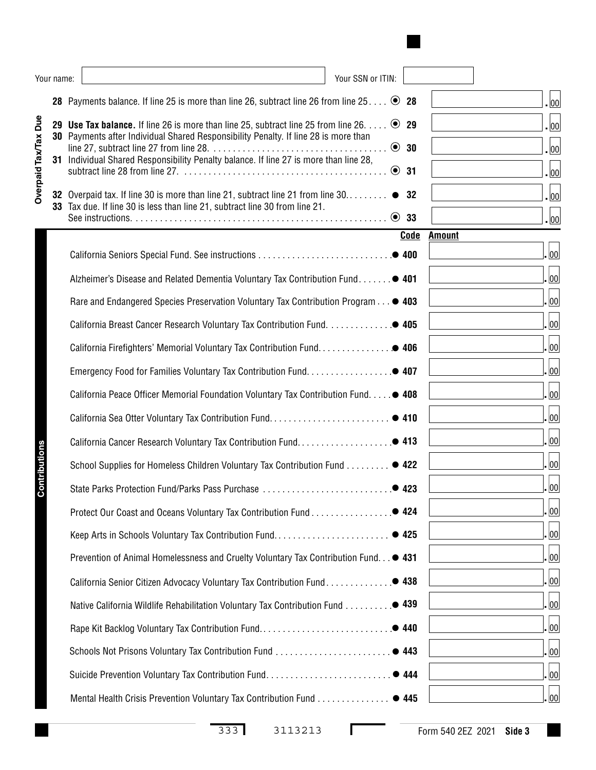|                      | Your name: | Your SSN or ITIN:                                                                                                                                                                                                                                                                       |                          |                                                             |
|----------------------|------------|-----------------------------------------------------------------------------------------------------------------------------------------------------------------------------------------------------------------------------------------------------------------------------------------|--------------------------|-------------------------------------------------------------|
|                      |            | 28 Payments balance. If line 25 is more than line 26, subtract line 26 from line 25 ● 28                                                                                                                                                                                                |                          | . 00                                                        |
| Overpaid Tax/Tax Due | 29<br>31   | <b>Use Tax balance.</b> If line 26 is more than line 25, subtract line 25 from line 26. $\dots$ $\odot$ 29<br>30 Payments after Individual Shared Responsibility Penalty. If line 28 is more than<br>Individual Shared Responsibility Penalty balance. If line 27 is more than line 28, | $\odot$ 30<br>$\odot$ 31 | $\vert_{00}\vert$<br>$\vert_{00}\vert$<br>$\vert_{00}\vert$ |
|                      |            | 32 Overpaid tax. If line 30 is more than line 21, subtract line 21 from line 30<br>33 Tax due. If line 30 is less than line 21, subtract line 30 from line 21.                                                                                                                          | -32                      | $\vert_{00}\vert$<br>$\vert_{00}\vert$                      |
|                      |            |                                                                                                                                                                                                                                                                                         | Code                     | Amount                                                      |
|                      |            |                                                                                                                                                                                                                                                                                         |                          | 00                                                          |
|                      |            | Alzheimer's Disease and Related Dementia Voluntary Tax Contribution Fund • 401                                                                                                                                                                                                          |                          | 00                                                          |
|                      |            | Rare and Endangered Species Preservation Voluntary Tax Contribution Program <sup>0</sup> 403                                                                                                                                                                                            |                          | 00                                                          |
|                      |            | <b>California Breast Cancer Research Voluntary Tax Contribution Fund 405</b>                                                                                                                                                                                                            |                          | 00                                                          |
|                      |            |                                                                                                                                                                                                                                                                                         |                          | 00                                                          |
|                      |            |                                                                                                                                                                                                                                                                                         |                          | 00                                                          |
|                      |            | California Peace Officer Memorial Foundation Voluntary Tax Contribution Fund. ● 408                                                                                                                                                                                                     |                          | 00                                                          |
|                      |            |                                                                                                                                                                                                                                                                                         |                          | 00                                                          |
|                      |            |                                                                                                                                                                                                                                                                                         |                          | 00                                                          |
| Contributions        |            | School Supplies for Homeless Children Voluntary Tax Contribution Fund ● 422                                                                                                                                                                                                             |                          | 00                                                          |
|                      |            | State Parks Protection Fund/Parks Pass Purchase                                                                                                                                                                                                                                         | •423                     | 00                                                          |
|                      |            |                                                                                                                                                                                                                                                                                         |                          | 00                                                          |
|                      |            | Keep Arts in Schools Voluntary Tax Contribution Fund ● 425                                                                                                                                                                                                                              |                          | 00                                                          |
|                      |            | Prevention of Animal Homelessness and Cruelty Voluntary Tax Contribution Fund ● 431                                                                                                                                                                                                     |                          | 00                                                          |
|                      |            |                                                                                                                                                                                                                                                                                         |                          | 00                                                          |
|                      |            | Native California Wildlife Rehabilitation Voluntary Tax Contribution Fund ● 439                                                                                                                                                                                                         |                          | 00                                                          |
|                      |            |                                                                                                                                                                                                                                                                                         |                          | 00                                                          |
|                      |            |                                                                                                                                                                                                                                                                                         |                          | 00                                                          |
|                      |            |                                                                                                                                                                                                                                                                                         |                          | 00                                                          |
|                      |            | Mental Health Crisis Prevention Voluntary Tax Contribution Fund ● 445                                                                                                                                                                                                                   |                          | 00                                                          |

333 3113213 Form 540 2EZ 2021 **Side 3**